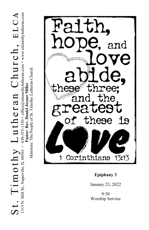$S$  t . Tim othy Luther and Church  $\lim_{n\to\infty} \inf_{\mathbf{M}} \limsup_{\mathbf{M}} \limsup_{\mathbf{M}} \sup_{\mathbf{M}} \mathbf{M}$  $S_t$ . Timot $\ln \text{min}_{s}$  Luther  $I$  and  $C$ hurch  $I$ , ELCA

1313 N. Mill St., Naperville, IL 60563 + 630-355-1330 + office@sttimothylutheran.com + www.sttimothylutheran.com Pastor: Rev. Daniel Joyner Miller

Ministers: The People of St. Timothy Lutheran Church Ministers: The People of St. Timothy Lutheran Church **Pastor: Rev. Daniel Joyner Miller** 



# **Epiphany 3**

January 23, 2022

9:30 Worship Service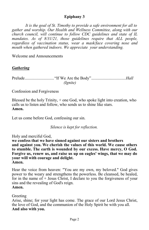# **Epiphany 3**

*It is the goal of St. Timothy to provide a safe environment for all to gather and worship. Our Health and Wellness Committee, along with our church council, will continue to follow CDC guidelines and state of IL*  mandates. As of 8/31/21, those guidelines require that ALL people, *regardless of vaccination status, wear a mask/face covering nose and mouth when gathered indoors. We appreciate your understanding.*

Welcome and Announcements

# *Gathering*

Prelude............................ "If We Are the Body".................................*Hall (Ignite)*

Confession and Forgiveness

Blessed be the holy Trinity, + one God, who spoke light into creation, who calls us to listen and follow, who sends us to shine like stars. **Amen.**

Let us come before God, confessing our sin.

 *Silence is kept for reflection.*

Holy and merciful God,

**we confess that we have sinned against our sisters and brothers and against you. We cherish the values of this world. We cause others to stumble. The earth is wounded by our excess. Have mercy, O God. Forgive us, renew us, and raise us up on eagles' wings, that we may do your will with courage and delight. Amen.**

Hear the voice from heaven: "You are my own, my beloved." God gives power to the weary and strengthens the powerless. Be cleansed, be healed, for in the name of  $+$  Jesus Christ, I declare to you the forgiveness of your sins and the revealing of God's reign. **Amen.**

## Greeting

Arise, shine; for your light has come. The grace of our Lord Jesus Christ, the love of God, and the communion of the Holy Spirit be with you all. **And also with you.**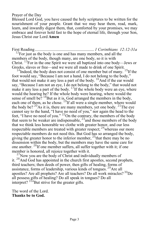#### Prayer of the Day

Blessed Lord God, you have caused the holy scriptures to be written for the nourishment of your people. Grant that we may hear them, read, mark, learn, and inwardly digest them, that, comforted by your promises, we may embrace and forever hold fast to the hope of eternal life, through your Son, Jesus Christ our Lord **Amen**

First Reading......................................................... *1 Corinthians 12:12-31a*

 $12$ For just as the body is one and has many members, and all the members of the body, though many, are one body, so it is with Christ.  $^{13}$ For in the one Spirit we were all baptized into one body—Jews or Greeks, slaves or free—and we were all made to drink of one Spirit.

 $14$ Indeed, the body does not consist of one member but of many.  $15$ If the foot would say, "Because I am not a hand, I do not belong to the body," that would not make it any less a part of the body.  $^{16}$ And if the ear would say, "Because I am not an eye, I do not belong to the body," that would not make it any less a part of the body.  $^{17}$ If the whole body were an eye, where would the hearing be? If the whole body were hearing, where would the sense of smell be?  $^{18}$ But as it is, God arranged the members in the body, each one of them, as he chose.  $^{19}$ If all were a single member, where would the body be? <sup>20</sup>As it is, there are many members, yet one body. <sup>21</sup>The eye cannot say to the hand, "I have no need of you," nor again the head to the feet, "I have no need of you." <sup>22</sup>On the contrary, the members of the body that seem to be weaker are indispensable,  $^{23}$  and those members of the body that we think less honorable we clothe with greater honor, and our less respectable members are treated with greater respect;  $^{24}$  whereas our more respectable members do not need this. But God has so arranged the body, giving the greater honor to the inferior member,  $^{25}$  that there may be no dissension within the body, but the members may have the same care for one another.  ${}^{26}$ If one member suffers, all suffer together with it; if one member is honored, all rejoice together with it.

 $27$ Now you are the body of Christ and individually members of it.  $^{28}$ And God has appointed in the church first apostles, second prophets, third teachers; then deeds of power, then gifts of healing, forms of assistance, forms of leadership, various kinds of tongues. <sup>29</sup>Are all apostles? Are all prophets? Are all teachers? Do all work miracles? <sup>30</sup>Do all possess gifts of healing? Do all speak in tongues? Do all interpret?  $3^{3}$ But strive for the greater gifts.

The word of the Lord. **Thanks be to God.**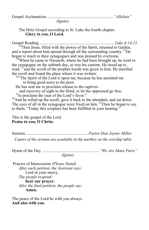Gospel Acclamation ................................................................ *"Alleluia"*

 *(Ignite)*

The Holy Gospel according to St. Luke the fourth chapter. **Glory to you, O Lord.**

Gospel Reading ........................................................................ *Luke 4:14-21* <sup>4</sup>Then Jesus, filled with the power of the Spirit, returned to Galilee, and a report about him spread through all the surrounding country. <sup>15</sup>He began to teach in their synagogues and was praised by everyone.

<sup>16</sup>When he came to Nazareth, where he had been brought up, he went to the synagogue on the sabbath day, as was his custom. He stood up to read, <sup>17</sup> and the scroll of the prophet Isaiah was given to him. He unrolled the scroll and found the place where it was written:

 $18$ "The Spirit of the Lord is upon me, because he has anointed me to bring good news to the poor.

He has sent me to proclaim release to the captives

 and recovery of sight to the blind, to let the oppressed go free, <sup>19</sup>to proclaim the year of the Lord's favor."

 $^{20}$ And he rolled up the scroll, gave it back to the attendant, and sat down. The eyes of all in the synagogue were fixed on him. <sup>21</sup>Then he began to say to them, "Today this scripture has been fulfilled in your hearing."

This is the gospel of the Lord. **Praise to you, O Christ.**

Sermon.............................................................*Pastor Dan Joyner Miller Copies of the sermon are available in the narthex on the worship table.*

Hymn of the Day .......................................................*"We Are Many Parts" (Ignite)*

Prayers of Intercession *(Please Stand) After each petition, the Assistant says:* Lord in your mercy, *The people respond:* **hear our prayer.** *After the final petition, the people say:* **Amen.**

The peace of the Lord be with you always. **And also with you.**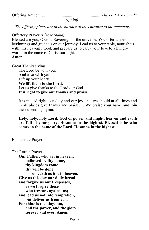Offering Anthem .......................................................*"The Lost Are Found"*

 *(Ignite)*

 *The offering plates are in the narthex at the entrance to the sanctuary.*

Offertory Prayer *(Please Stand)*

Blessed are you, O God, Sovereign of the universe. You offer us new beginnings and guide us on our journey. Lead us to your table, nourish us with this heavenly food, and prepare us to carry your love to a hungry world, in the name of Christ our light. **Amen.**

Great Thanksgiving

The Lord be with you. **And also with you.** Lift up your hearts. **We lift them to the Lord.** Let us give thanks to the Lord our God. **It is right to give our thanks and praise.**

It is indeed right, our duty and our joy, that we should at all times and in all places give thanks and praise…. We praise your name and join their unending hymn:

**Holy, holy, holy Lord, God of power and might, heaven and earth are full of your glory. Hosanna in the highest. Blessed is he who comes in the name of the Lord. Hosanna in the highest.**

Eucharistic Prayer

The Lord's Prayer **Our Father, who art in heaven, hallowed be thy name, thy kingdom come, thy will be done, on earth as it is in heaven. Give us this day our daily bread; and forgive us our trespasses, as we forgive those who trespass against us; and lead us not into temptation, but deliver us from evil. For thine is the kingdom, and the power, and the glory, forever and ever. Amen.**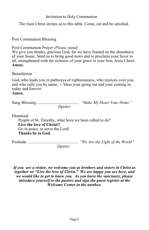## Invitation to Holy Communion

The risen Christ invites us to this table. Come, eat and be satisfied.

Post Communion Blessing

Post-Communion Prayer *(Please stand)*

We give you thanks, gracious God, for we have feasted on the abundance of your house. Send us to bring good news and to proclaim your favor to all, strengthened with the richness of your grace in your Son, Jesus Christ. **Amen.**

Benediction

God, who leads you in pathways of righteousness, who rejoices over you, and who calls you by name, + bless your going out and your coming in, today and forever.

#### **Amen.**

|          | "Make My Heart Your Home" |
|----------|---------------------------|
| (Ignite) |                           |

Dismissal People of St. Timothy, what have we been called to do? **Live the love of Christ!!** Go in peace, to serve the Lord! **Thanks be to God.** 

Postlude ................................................. *"We Are the Light of the World" (Ignite)*

*If you are a visitor, we welcome you as brothers and sisters in Christ as together we "Live the love of Christ." We are happy you are here, and we would like to get to know you. As you leave the sanctuary, please introduce yourself to the pastors and sign the guest register at the Welcome Center in the narthex.*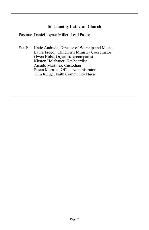## **St. Timothy Lutheran Church**

Pastors: Daniel Joyner Miller, Lead Pastor

Staff: Katie Andrade, Director of Worship and Music Laura Frego, Children's Ministry Coordinator Gwen Holst, Organist/Accompanist Kirsten Holzhauer, Keyboardist Amado Martinez, Custodian Susan Moraski, Office Administrator Kim Runge, Faith Community Nurse